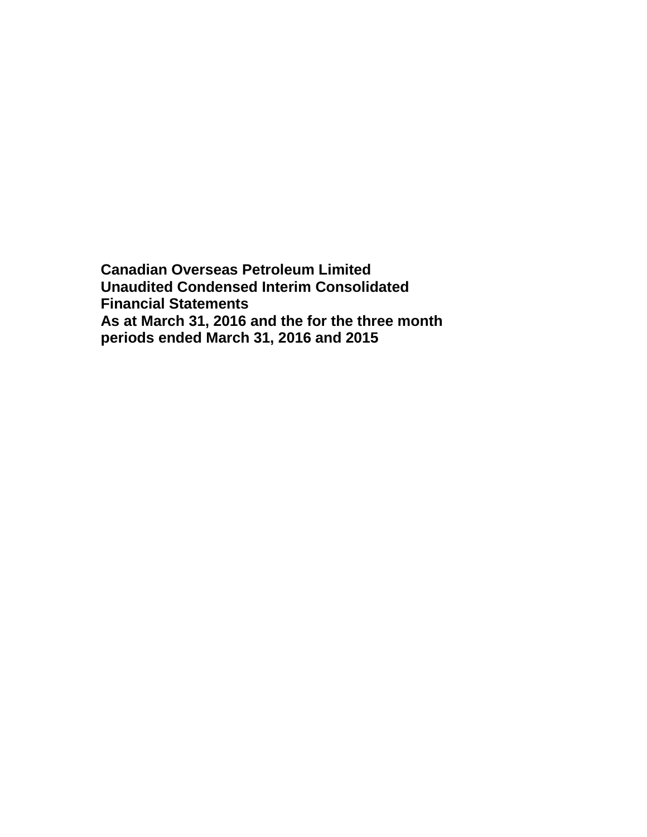**Canadian Overseas Petroleum Limited Unaudited Condensed Interim Consolidated Financial Statements As at March 31, 2016 and the for the three month periods ended March 31, 2016 and 2015**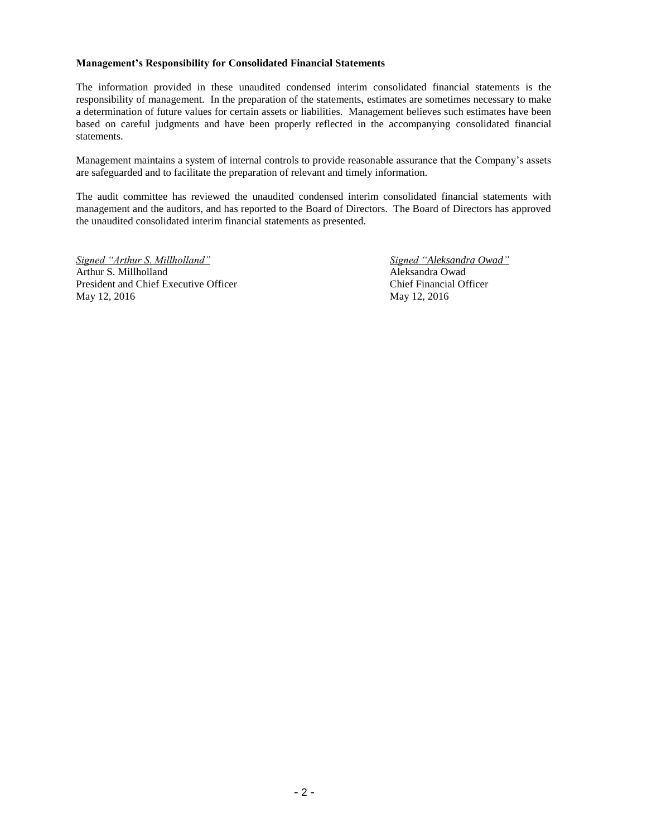#### **Management's Responsibility for Consolidated Financial Statements**

The information provided in these unaudited condensed interim consolidated financial statements is the responsibility of management. In the preparation of the statements, estimates are sometimes necessary to make a determination of future values for certain assets or liabilities. Management believes such estimates have been based on careful judgments and have been properly reflected in the accompanying consolidated financial statements.

Management maintains a system of internal controls to provide reasonable assurance that the Company's assets are safeguarded and to facilitate the preparation of relevant and timely information.

The audit committee has reviewed the unaudited condensed interim consolidated financial statements with management and the auditors, and has reported to the Board of Directors. The Board of Directors has approved the unaudited consolidated interim financial statements as presented.

*Signed "Arthur S. Millholland" Signed "Aleksandra Owad"* Arthur S. Millholland Aleksandra Owad President and Chief Executive Officer Chief Financial Officer May 12, 2016 May 12, 2016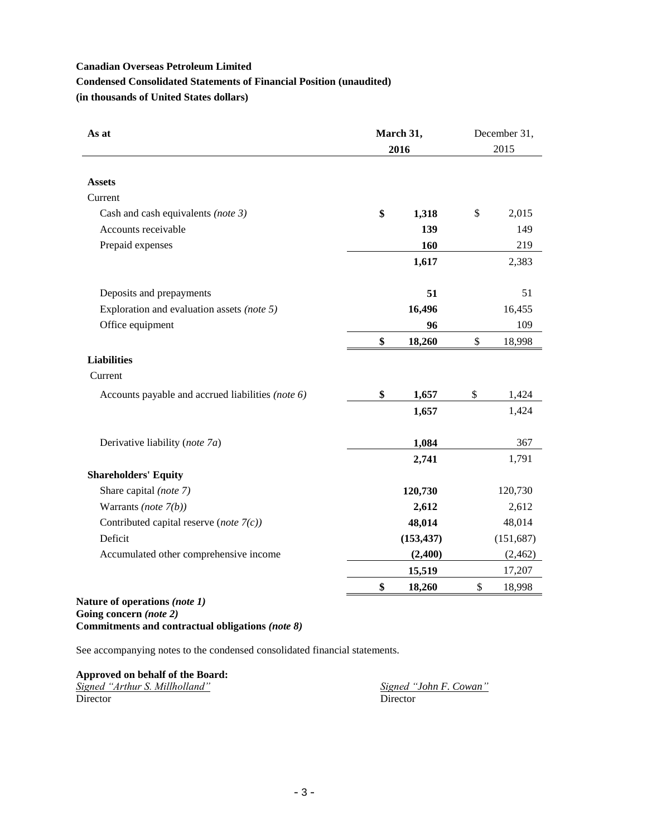# **Condensed Consolidated Statements of Financial Position (unaudited)**

**(in thousands of United States dollars)**

| As at                                                                            | March 31,<br>2016 | December 31,<br>2015 |  |  |
|----------------------------------------------------------------------------------|-------------------|----------------------|--|--|
|                                                                                  |                   |                      |  |  |
| <b>Assets</b>                                                                    |                   |                      |  |  |
| Current                                                                          |                   |                      |  |  |
| Cash and cash equivalents (note 3)                                               | \$<br>1,318       | \$<br>2,015          |  |  |
| Accounts receivable                                                              | 139               | 149                  |  |  |
| Prepaid expenses                                                                 | 160               | 219                  |  |  |
|                                                                                  | 1,617             | 2,383                |  |  |
| Deposits and prepayments                                                         | 51                | 51                   |  |  |
| Exploration and evaluation assets (note 5)                                       | 16,496            | 16,455               |  |  |
| Office equipment                                                                 | 96                | 109                  |  |  |
|                                                                                  | \$<br>18,260      | \$<br>18,998         |  |  |
| <b>Liabilities</b>                                                               |                   |                      |  |  |
| Current                                                                          |                   |                      |  |  |
| Accounts payable and accrued liabilities (note 6)                                | \$<br>1,657       | \$<br>1,424          |  |  |
|                                                                                  | 1,657             | 1,424                |  |  |
| Derivative liability (note 7a)                                                   | 1,084             | 367                  |  |  |
|                                                                                  | 2,741             | 1,791                |  |  |
| <b>Shareholders' Equity</b>                                                      |                   |                      |  |  |
| Share capital (note 7)                                                           | 120,730           | 120,730              |  |  |
| Warrants (note $7(b)$ )                                                          | 2,612             | 2,612                |  |  |
| Contributed capital reserve (note $7(c)$ )                                       | 48,014            | 48,014               |  |  |
| Deficit                                                                          | (153, 437)        | (151, 687)           |  |  |
| Accumulated other comprehensive income                                           | (2,400)           | (2,462)              |  |  |
|                                                                                  | 15,519            | 17,207               |  |  |
|                                                                                  | \$<br>18,260      | \$<br>18,998         |  |  |
| $\mathbf{r}$<br>$\mathbf{r}$ $\mathbf{r}$ $\mathbf{r}$ $\mathbf{r}$ $\mathbf{r}$ |                   |                      |  |  |

### **Nature of operations** *(note 1)* **Going concern** *(note 2)* **Commitments and contractual obligations** *(note 8)*

See accompanying notes to the condensed consolidated financial statements.

**Approved on behalf of the Board:**

*Signed "Arthur S. Millholland" Signed "John F. Cowan"* Director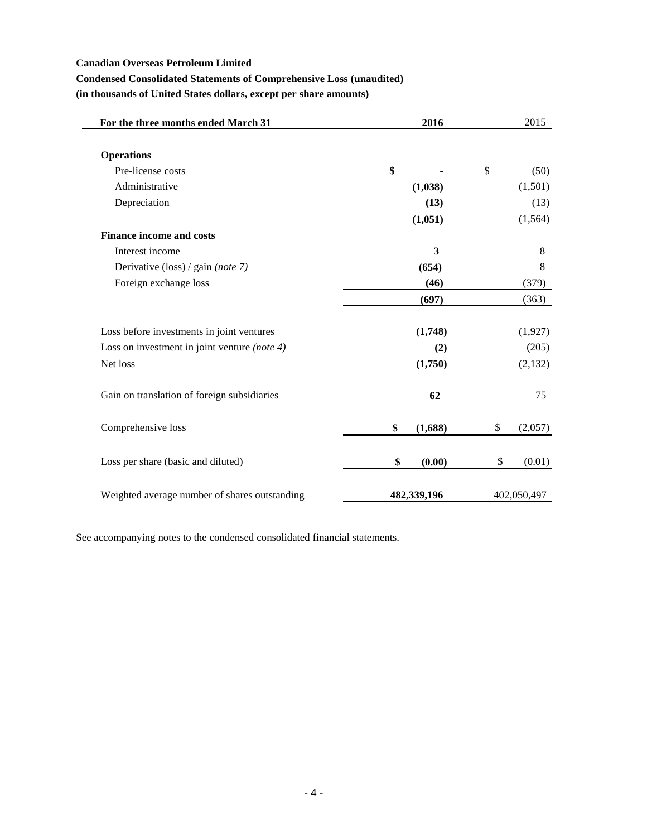$\qquad \qquad$ 

# **Condensed Consolidated Statements of Comprehensive Loss (unaudited)**

**(in thousands of United States dollars, except per share amounts)**

| For the three months ended March 31             | 2016          | 2015          |
|-------------------------------------------------|---------------|---------------|
|                                                 |               |               |
| <b>Operations</b>                               |               |               |
| Pre-license costs                               | \$            | \$<br>(50)    |
| Administrative                                  | (1,038)       | (1,501)       |
| Depreciation                                    | (13)          | (13)          |
|                                                 | (1,051)       | (1, 564)      |
| <b>Finance income and costs</b>                 |               |               |
| Interest income                                 | 3             | 8             |
| Derivative (loss) / gain (note 7)               | (654)         | 8             |
| Foreign exchange loss                           | (46)          | (379)         |
|                                                 | (697)         | (363)         |
| Loss before investments in joint ventures       | (1,748)       | (1,927)       |
| Loss on investment in joint venture (note $4$ ) | (2)           | (205)         |
| Net loss                                        | (1,750)       | (2,132)       |
| Gain on translation of foreign subsidiaries     | 62            | 75            |
| Comprehensive loss                              | \$<br>(1,688) | \$<br>(2,057) |
| Loss per share (basic and diluted)              | \$<br>(0.00)  | \$<br>(0.01)  |
| Weighted average number of shares outstanding   | 482,339,196   | 402,050,497   |

See accompanying notes to the condensed consolidated financial statements.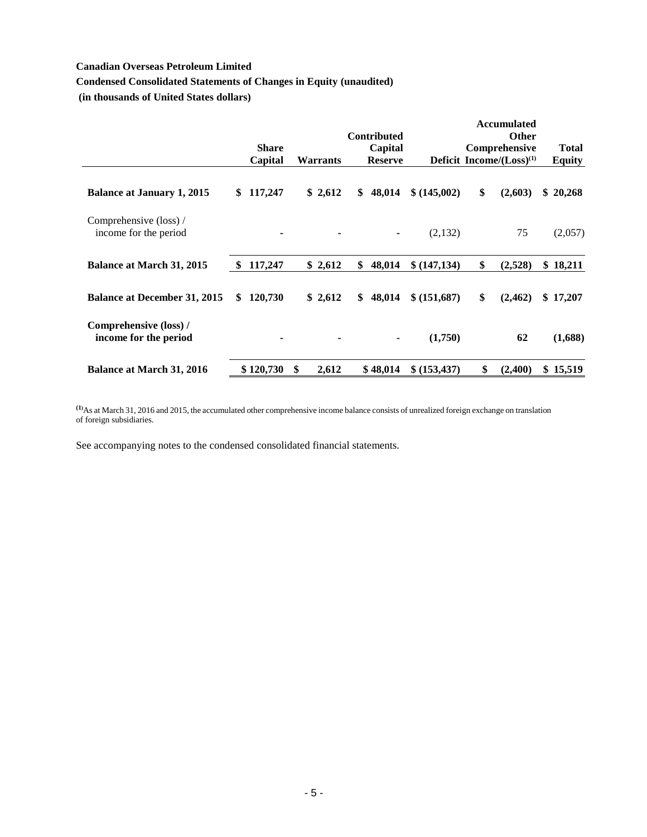# **Condensed Consolidated Statements of Changes in Equity (unaudited)**

**(in thousands of United States dollars)**

|                                                 |    |              |               |                 |                    |               | <b>Accumulated</b>             |               |
|-------------------------------------------------|----|--------------|---------------|-----------------|--------------------|---------------|--------------------------------|---------------|
|                                                 |    |              |               |                 | <b>Contributed</b> |               | <b>Other</b>                   |               |
|                                                 |    | <b>Share</b> |               |                 | Capital            |               | Comprehensive                  | <b>Total</b>  |
|                                                 |    | Capital      |               | <b>Warrants</b> | <b>Reserve</b>     |               | Deficit Income/ $(Loss)^{(1)}$ | <b>Equity</b> |
| <b>Balance at January 1, 2015</b>               | S. | 117,247      |               | \$2,612         | \$<br>48,014       | \$ (145,002)  | \$<br>(2,603)                  | \$20,268      |
| Comprehensive (loss) /<br>income for the period |    | ٠            |               |                 |                    | (2,132)       | 75                             | (2,057)       |
| <b>Balance at March 31, 2015</b>                | -S | 117,247      |               | \$2,612         | \$<br>48,014       | \$(147, 134)  | \$<br>(2,528)                  | \$<br>18,211  |
| <b>Balance at December 31, 2015</b>             | \$ | 120,730      |               | \$2,612         | \$<br>48,014       | \$ (151,687)  | \$<br>(2, 462)                 | \$17,207      |
| Comprehensive (loss) /<br>income for the period |    | ٠            |               |                 |                    | (1,750)       | 62                             | (1,688)       |
| <b>Balance at March 31, 2016</b>                |    | \$120,730    | <sup>\$</sup> | 2,612           | \$48,014           | \$ (153, 437) | \$<br>(2,400)                  | \$15,519      |

**(1)**As at March 31, 2016 and 2015, the accumulated other comprehensive income balance consists of unrealized foreign exchange on translation of foreign subsidiaries.

See accompanying notes to the condensed consolidated financial statements.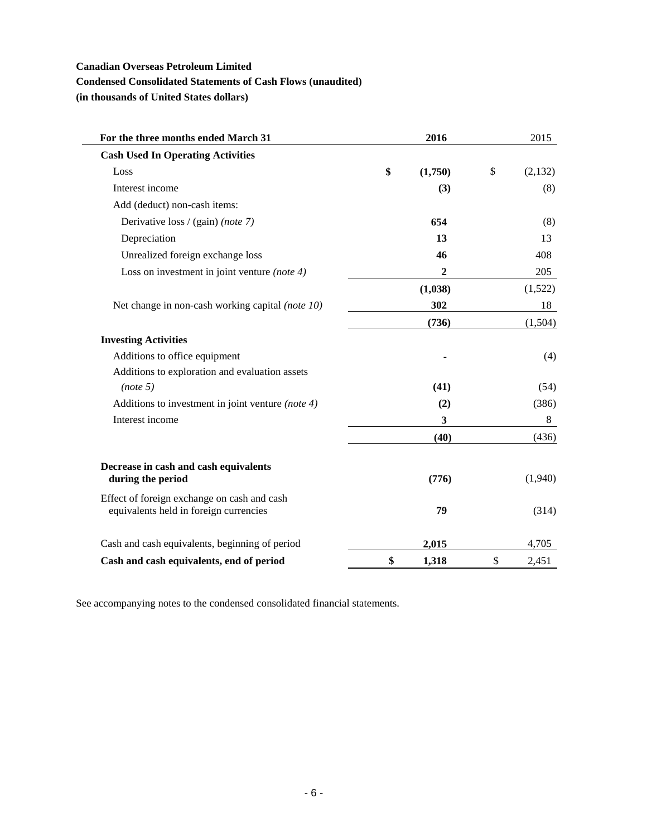# **Condensed Consolidated Statements of Cash Flows (unaudited)**

**(in thousands of United States dollars)**

L

| For the three months ended March 31                                                   | 2016          | 2015          |
|---------------------------------------------------------------------------------------|---------------|---------------|
| <b>Cash Used In Operating Activities</b>                                              |               |               |
| Loss                                                                                  | \$<br>(1,750) | \$<br>(2,132) |
| Interest income                                                                       | (3)           | (8)           |
| Add (deduct) non-cash items:                                                          |               |               |
| Derivative loss / (gain) (note 7)                                                     | 654           | (8)           |
| Depreciation                                                                          | 13            | 13            |
| Unrealized foreign exchange loss                                                      | 46            | 408           |
| Loss on investment in joint venture (note 4)                                          | 2             | 205           |
|                                                                                       | (1,038)       | (1,522)       |
| Net change in non-cash working capital (note 10)                                      | 302           | 18            |
|                                                                                       | (736)         | (1,504)       |
| <b>Investing Activities</b>                                                           |               |               |
| Additions to office equipment                                                         |               | (4)           |
| Additions to exploration and evaluation assets                                        |               |               |
| (note 5)                                                                              | (41)          | (54)          |
| Additions to investment in joint venture (note 4)                                     | (2)           | (386)         |
| Interest income                                                                       | 3             | 8             |
|                                                                                       | (40)          | (436)         |
| Decrease in cash and cash equivalents<br>during the period                            | (776)         | (1,940)       |
| Effect of foreign exchange on cash and cash<br>equivalents held in foreign currencies | 79            | (314)         |
| Cash and cash equivalents, beginning of period                                        | 2,015         | 4,705         |
| Cash and cash equivalents, end of period                                              | \$<br>1,318   | \$<br>2,451   |

See accompanying notes to the condensed consolidated financial statements.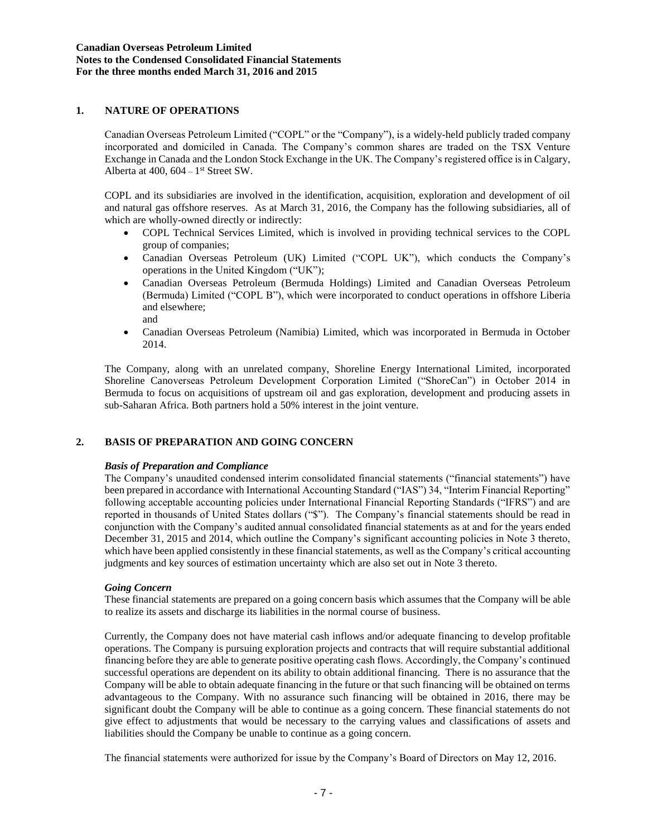# **1. NATURE OF OPERATIONS**

Canadian Overseas Petroleum Limited ("COPL" or the "Company"), is a widely-held publicly traded company incorporated and domiciled in Canada. The Company's common shares are traded on the TSX Venture Exchange in Canada and the London Stock Exchange in the UK. The Company's registered office is in Calgary, Alberta at  $400$ ,  $604 - 1$ <sup>st</sup> Street SW.

COPL and its subsidiaries are involved in the identification, acquisition, exploration and development of oil and natural gas offshore reserves. As at March 31, 2016, the Company has the following subsidiaries, all of which are wholly-owned directly or indirectly:

- COPL Technical Services Limited, which is involved in providing technical services to the COPL group of companies;
- Canadian Overseas Petroleum (UK) Limited ("COPL UK"), which conducts the Company's operations in the United Kingdom ("UK");
- Canadian Overseas Petroleum (Bermuda Holdings) Limited and Canadian Overseas Petroleum (Bermuda) Limited ("COPL B"), which were incorporated to conduct operations in offshore Liberia and elsewhere; and
- Canadian Overseas Petroleum (Namibia) Limited, which was incorporated in Bermuda in October 2014.

The Company, along with an unrelated company, Shoreline Energy International Limited, incorporated Shoreline Canoverseas Petroleum Development Corporation Limited ("ShoreCan") in October 2014 in Bermuda to focus on acquisitions of upstream oil and gas exploration, development and producing assets in sub-Saharan Africa. Both partners hold a 50% interest in the joint venture.

## **2. BASIS OF PREPARATION AND GOING CONCERN**

#### *Basis of Preparation and Compliance*

The Company's unaudited condensed interim consolidated financial statements ("financial statements") have been prepared in accordance with International Accounting Standard ("IAS") 34, "Interim Financial Reporting" following acceptable accounting policies under International Financial Reporting Standards ("IFRS") and are reported in thousands of United States dollars ("\$"). The Company's financial statements should be read in conjunction with the Company's audited annual consolidated financial statements as at and for the years ended December 31, 2015 and 2014, which outline the Company's significant accounting policies in Note 3 thereto, which have been applied consistently in these financial statements, as well as the Company's critical accounting judgments and key sources of estimation uncertainty which are also set out in Note 3 thereto.

#### *Going Concern*

These financial statements are prepared on a going concern basis which assumes that the Company will be able to realize its assets and discharge its liabilities in the normal course of business.

Currently, the Company does not have material cash inflows and/or adequate financing to develop profitable operations. The Company is pursuing exploration projects and contracts that will require substantial additional financing before they are able to generate positive operating cash flows. Accordingly, the Company's continued successful operations are dependent on its ability to obtain additional financing. There is no assurance that the Company will be able to obtain adequate financing in the future or that such financing will be obtained on terms advantageous to the Company. With no assurance such financing will be obtained in 2016, there may be significant doubt the Company will be able to continue as a going concern. These financial statements do not give effect to adjustments that would be necessary to the carrying values and classifications of assets and liabilities should the Company be unable to continue as a going concern.

The financial statements were authorized for issue by the Company's Board of Directors on May 12, 2016.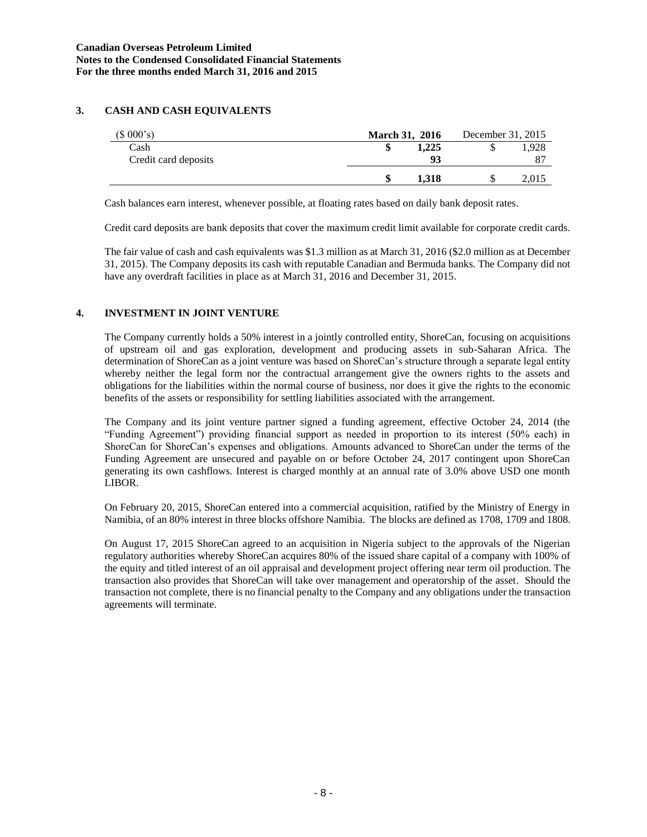# **3. CASH AND CASH EQUIVALENTS**

| (\$000's)            | <b>March 31, 2016</b> | December 31, 2015 |       |
|----------------------|-----------------------|-------------------|-------|
| Cash                 | 1.225                 |                   | .928  |
| Credit card deposits | 93                    |                   |       |
|                      | 1.318                 |                   | 2,015 |

Cash balances earn interest, whenever possible, at floating rates based on daily bank deposit rates.

Credit card deposits are bank deposits that cover the maximum credit limit available for corporate credit cards.

The fair value of cash and cash equivalents was \$1.3 million as at March 31, 2016 (\$2.0 million as at December 31, 2015). The Company deposits its cash with reputable Canadian and Bermuda banks. The Company did not have any overdraft facilities in place as at March 31, 2016 and December 31, 2015.

# **4. INVESTMENT IN JOINT VENTURE**

The Company currently holds a 50% interest in a jointly controlled entity, ShoreCan, focusing on acquisitions of upstream oil and gas exploration, development and producing assets in sub-Saharan Africa. The determination of ShoreCan as a joint venture was based on ShoreCan's structure through a separate legal entity whereby neither the legal form nor the contractual arrangement give the owners rights to the assets and obligations for the liabilities within the normal course of business, nor does it give the rights to the economic benefits of the assets or responsibility for settling liabilities associated with the arrangement.

The Company and its joint venture partner signed a funding agreement, effective October 24, 2014 (the "Funding Agreement") providing financial support as needed in proportion to its interest (50% each) in ShoreCan for ShoreCan's expenses and obligations. Amounts advanced to ShoreCan under the terms of the Funding Agreement are unsecured and payable on or before October 24, 2017 contingent upon ShoreCan generating its own cashflows. Interest is charged monthly at an annual rate of 3.0% above USD one month LIBOR.

On February 20, 2015, ShoreCan entered into a commercial acquisition, ratified by the Ministry of Energy in Namibia, of an 80% interest in three blocks offshore Namibia. The blocks are defined as 1708, 1709 and 1808.

On August 17, 2015 ShoreCan agreed to an acquisition in Nigeria subject to the approvals of the Nigerian regulatory authorities whereby ShoreCan acquires 80% of the issued share capital of a company with 100% of the equity and titled interest of an oil appraisal and development project offering near term oil production. The transaction also provides that ShoreCan will take over management and operatorship of the asset. Should the transaction not complete, there is no financial penalty to the Company and any obligations under the transaction agreements will terminate.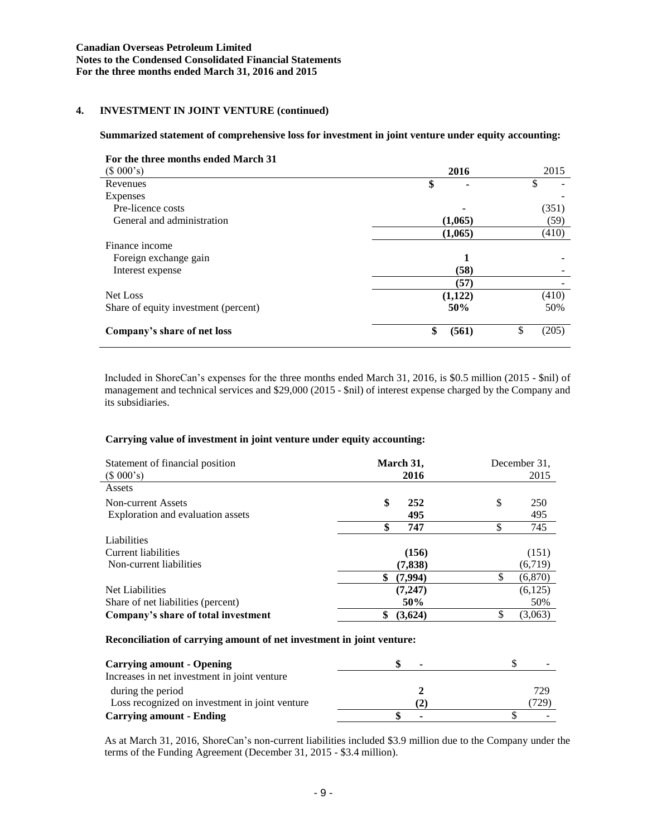# **4. INVESTMENT IN JOINT VENTURE (continued)**

#### **Summarized statement of comprehensive loss for investment in joint venture under equity accounting:**

| For the three months ended March 31  |             |             |
|--------------------------------------|-------------|-------------|
| (\$000's)                            | 2016        | 2015        |
| Revenues                             | \$          | Φ<br>Ф      |
| Expenses                             |             |             |
| Pre-licence costs                    |             | (351)       |
| General and administration           | (1,065)     | (59)        |
|                                      | (1,065)     | (410)       |
| Finance income                       |             |             |
| Foreign exchange gain                | 1           |             |
| Interest expense                     | (58)        |             |
|                                      | (57)        |             |
| Net Loss                             | (1,122)     | (410)       |
| Share of equity investment (percent) | 50%         | 50%         |
| Company's share of net loss          | \$<br>(561) | \$<br>(205) |

Included in ShoreCan's expenses for the three months ended March 31, 2016, is \$0.5 million (2015 - \$nil) of management and technical services and \$29,000 (2015 - \$nil) of interest expense charged by the Company and its subsidiaries.

### **Carrying value of investment in joint venture under equity accounting:**

| Statement of financial position<br>(\$000's) | March 31,<br>2016 | December 31.<br>2015 |
|----------------------------------------------|-------------------|----------------------|
| Assets                                       |                   |                      |
| Non-current Assets                           | \$<br>252         | \$<br>250            |
| Exploration and evaluation assets            | 495               | 495                  |
|                                              | \$<br>747         | 745                  |
| Liabilities                                  |                   |                      |
| Current liabilities                          | (156)             | (151)                |
| Non-current liabilities                      | (7,838)           | (6,719)              |
|                                              | \$<br>(7,994)     | S<br>(6,870)         |
| Net Liabilities                              | (7, 247)          | (6,125)              |
| Share of net liabilities (percent)           | 50%               | 50%                  |
| Company's share of total investment          | \$<br>(3,624)     | S<br>(3,063)         |

### **Reconciliation of carrying amount of net investment in joint venture:**

| <b>Carrying amount - Opening</b>               | $\overline{\phantom{a}}$ |      |
|------------------------------------------------|--------------------------|------|
| Increases in net investment in joint venture   |                          |      |
| during the period                              |                          | 729  |
| Loss recognized on investment in joint venture | $\mathbf{2}^{\circ}$     | 729) |
| <b>Carrying amount - Ending</b>                | ۰                        |      |

As at March 31, 2016, ShoreCan's non-current liabilities included \$3.9 million due to the Company under the terms of the Funding Agreement (December 31, 2015 - \$3.4 million).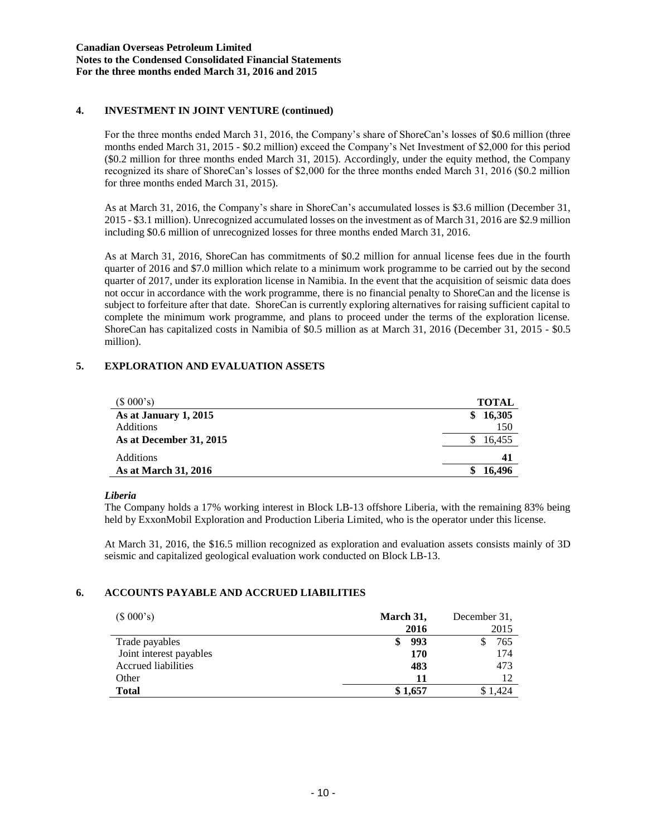## **4. INVESTMENT IN JOINT VENTURE (continued)**

For the three months ended March 31, 2016, the Company's share of ShoreCan's losses of \$0.6 million (three months ended March 31, 2015 - \$0.2 million) exceed the Company's Net Investment of \$2,000 for this period (\$0.2 million for three months ended March 31, 2015). Accordingly, under the equity method, the Company recognized its share of ShoreCan's losses of \$2,000 for the three months ended March 31, 2016 (\$0.2 million for three months ended March 31, 2015).

As at March 31, 2016, the Company's share in ShoreCan's accumulated losses is \$3.6 million (December 31, 2015 - \$3.1 million). Unrecognized accumulated losses on the investment as of March 31, 2016 are \$2.9 million including \$0.6 million of unrecognized losses for three months ended March 31, 2016.

As at March 31, 2016, ShoreCan has commitments of \$0.2 million for annual license fees due in the fourth quarter of 2016 and \$7.0 million which relate to a minimum work programme to be carried out by the second quarter of 2017, under its exploration license in Namibia. In the event that the acquisition of seismic data does not occur in accordance with the work programme, there is no financial penalty to ShoreCan and the license is subject to forfeiture after that date. ShoreCan is currently exploring alternatives for raising sufficient capital to complete the minimum work programme, and plans to proceed under the terms of the exploration license. ShoreCan has capitalized costs in Namibia of \$0.5 million as at March 31, 2016 (December 31, 2015 - \$0.5 million).

# **5. EXPLORATION AND EVALUATION ASSETS**

| (\$000's)               | <b>TOTAL</b> |
|-------------------------|--------------|
| As at January 1, 2015   | 16,305<br>\$ |
| <b>Additions</b>        | 150          |
| As at December 31, 2015 | 16,455       |
| <b>Additions</b>        | 41           |
| As at March 31, 2016    | 16.496       |

### *Liberia*

The Company holds a 17% working interest in Block LB-13 offshore Liberia, with the remaining 83% being held by ExxonMobil Exploration and Production Liberia Limited, who is the operator under this license.

At March 31, 2016, the \$16.5 million recognized as exploration and evaluation assets consists mainly of 3D seismic and capitalized geological evaluation work conducted on Block LB-13.

# **6. ACCOUNTS PAYABLE AND ACCRUED LIABILITIES**

| (\$000's)               | March 31, | December 31. |
|-------------------------|-----------|--------------|
|                         | 2016      | 2015         |
| Trade payables          | 993<br>\$ | 765          |
| Joint interest payables | 170       | 174          |
| Accrued liabilities     | 483       | 473          |
| Other                   | 11        | 12           |
| <b>Total</b>            | \$1,657   | .424         |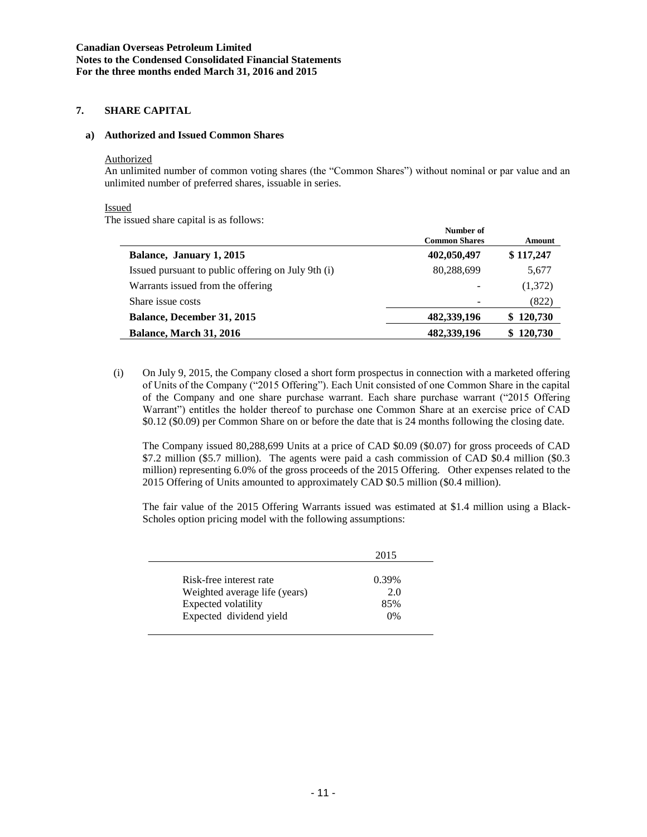# **7. SHARE CAPITAL**

### **a) Authorized and Issued Common Shares**

#### Authorized

An unlimited number of common voting shares (the "Common Shares") without nominal or par value and an unlimited number of preferred shares, issuable in series.

### Issued

The issued share capital is as follows:

|                                                    | Number of<br><b>Common Shares</b> | Amount    |
|----------------------------------------------------|-----------------------------------|-----------|
| Balance, January 1, 2015                           | 402,050,497                       | \$117,247 |
| Issued pursuant to public offering on July 9th (i) | 80,288,699                        | 5,677     |
| Warrants issued from the offering                  |                                   | (1,372)   |
| Share issue costs                                  |                                   | (822)     |
| <b>Balance, December 31, 2015</b>                  | 482,339,196                       | \$120,730 |
| <b>Balance, March 31, 2016</b>                     | 482,339,196                       | \$120,730 |

(i) On July 9, 2015, the Company closed a short form prospectus in connection with a marketed offering of Units of the Company ("2015 Offering"). Each Unit consisted of one Common Share in the capital of the Company and one share purchase warrant. Each share purchase warrant ("2015 Offering Warrant") entitles the holder thereof to purchase one Common Share at an exercise price of CAD \$0.12 (\$0.09) per Common Share on or before the date that is 24 months following the closing date.

The Company issued 80,288,699 Units at a price of CAD \$0.09 (\$0.07) for gross proceeds of CAD \$7.2 million (\$5.7 million). The agents were paid a cash commission of CAD \$0.4 million (\$0.3 million) representing 6.0% of the gross proceeds of the 2015 Offering. Other expenses related to the 2015 Offering of Units amounted to approximately CAD \$0.5 million (\$0.4 million).

The fair value of the 2015 Offering Warrants issued was estimated at \$1.4 million using a Black-Scholes option pricing model with the following assumptions:

|                               | 2015  |
|-------------------------------|-------|
| Risk-free interest rate       | 0.39% |
| Weighted average life (years) | 2.0   |
| Expected volatility           | 85%   |
| Expected dividend yield       | 0%    |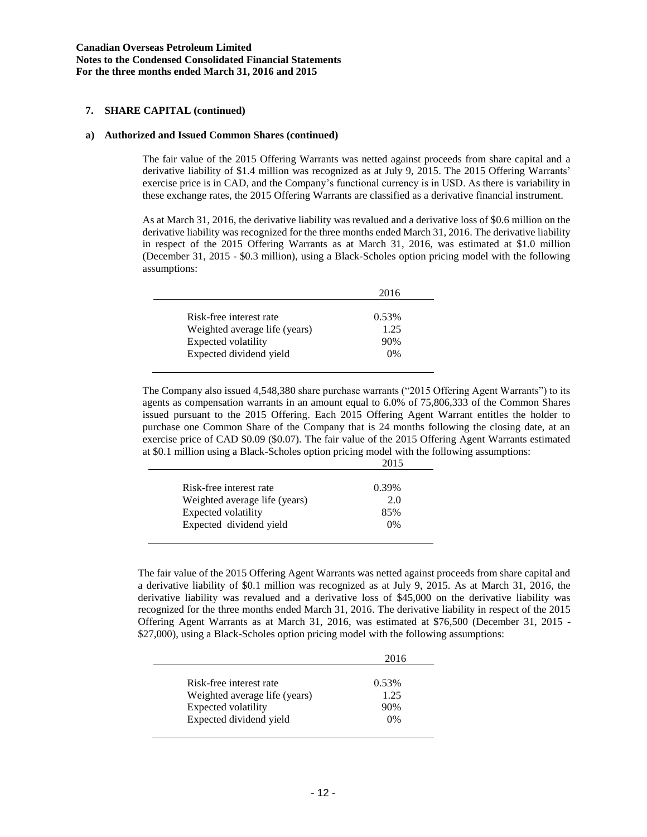## **7. SHARE CAPITAL (continued)**

#### **a) Authorized and Issued Common Shares (continued)**

The fair value of the 2015 Offering Warrants was netted against proceeds from share capital and a derivative liability of \$1.4 million was recognized as at July 9, 2015. The 2015 Offering Warrants' exercise price is in CAD, and the Company's functional currency is in USD. As there is variability in these exchange rates, the 2015 Offering Warrants are classified as a derivative financial instrument.

As at March 31, 2016, the derivative liability was revalued and a derivative loss of \$0.6 million on the derivative liability was recognized for the three months ended March 31, 2016. The derivative liability in respect of the 2015 Offering Warrants as at March 31, 2016, was estimated at \$1.0 million (December 31, 2015 - \$0.3 million), using a Black-Scholes option pricing model with the following assumptions:

|                                                | 2016      |
|------------------------------------------------|-----------|
| Risk-free interest rate                        | 0.53%     |
| Weighted average life (years)                  | 1.25      |
| Expected volatility<br>Expected dividend yield | 90%<br>0% |

The Company also issued 4,548,380 share purchase warrants ("2015 Offering Agent Warrants") to its agents as compensation warrants in an amount equal to 6.0% of 75,806,333 of the Common Shares issued pursuant to the 2015 Offering. Each 2015 Offering Agent Warrant entitles the holder to purchase one Common Share of the Company that is 24 months following the closing date, at an exercise price of CAD \$0.09 (\$0.07). The fair value of the 2015 Offering Agent Warrants estimated at \$0.1 million using a Black-Scholes option pricing model with the following assumptions: 2015

| Risk-free interest rate       | 0.39% |
|-------------------------------|-------|
| Weighted average life (years) | 2.0   |
| Expected volatility           | 85%   |
| Expected dividend yield       | 0%    |
|                               |       |

The fair value of the 2015 Offering Agent Warrants was netted against proceeds from share capital and a derivative liability of \$0.1 million was recognized as at July 9, 2015. As at March 31, 2016, the derivative liability was revalued and a derivative loss of \$45,000 on the derivative liability was recognized for the three months ended March 31, 2016. The derivative liability in respect of the 2015 Offering Agent Warrants as at March 31, 2016, was estimated at \$76,500 (December 31, 2015 - \$27,000), using a Black-Scholes option pricing model with the following assumptions:

|                               | 2016  |
|-------------------------------|-------|
|                               |       |
| Risk-free interest rate       | 0.53% |
| Weighted average life (years) | 1.25  |
| Expected volatility           | 90%   |
| Expected dividend yield       | 0%    |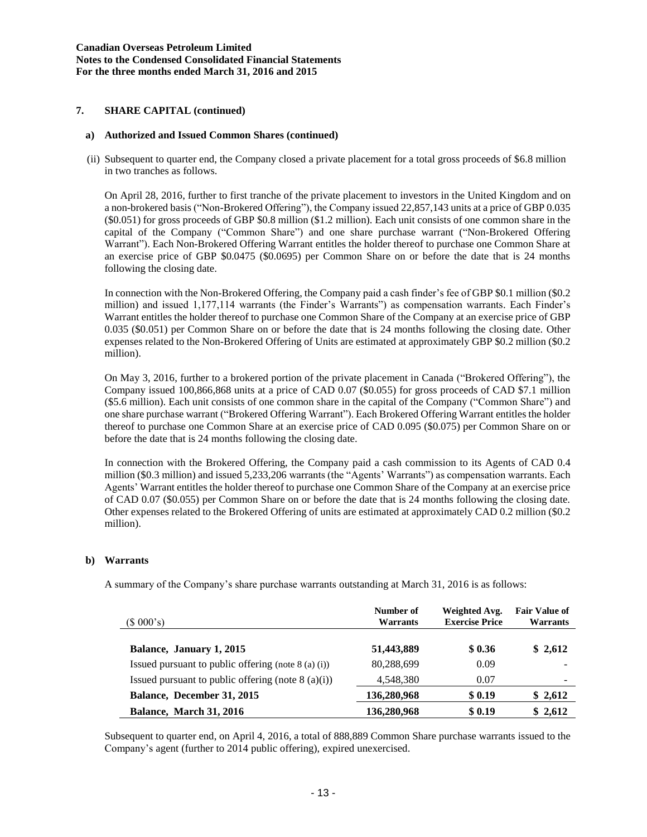# **7. SHARE CAPITAL (continued)**

#### **a) Authorized and Issued Common Shares (continued)**

(ii) Subsequent to quarter end, the Company closed a private placement for a total gross proceeds of \$6.8 million in two tranches as follows.

On April 28, 2016, further to first tranche of the private placement to investors in the United Kingdom and on a non-brokered basis ("Non-Brokered Offering"), the Company issued 22,857,143 units at a price of GBP 0.035 (\$0.051) for gross proceeds of GBP \$0.8 million (\$1.2 million). Each unit consists of one common share in the capital of the Company ("Common Share") and one share purchase warrant ("Non-Brokered Offering Warrant"). Each Non-Brokered Offering Warrant entitles the holder thereof to purchase one Common Share at an exercise price of GBP \$0.0475 (\$0.0695) per Common Share on or before the date that is 24 months following the closing date.

In connection with the Non-Brokered Offering, the Company paid a cash finder's fee of GBP \$0.1 million (\$0.2 million) and issued 1,177,114 warrants (the Finder's Warrants") as compensation warrants. Each Finder's Warrant entitles the holder thereof to purchase one Common Share of the Company at an exercise price of GBP 0.035 (\$0.051) per Common Share on or before the date that is 24 months following the closing date. Other expenses related to the Non-Brokered Offering of Units are estimated at approximately GBP \$0.2 million (\$0.2 million).

On May 3, 2016, further to a brokered portion of the private placement in Canada ("Brokered Offering"), the Company issued 100,866,868 units at a price of CAD 0.07 (\$0.055) for gross proceeds of CAD \$7.1 million (\$5.6 million). Each unit consists of one common share in the capital of the Company ("Common Share") and one share purchase warrant ("Brokered Offering Warrant"). Each Brokered Offering Warrant entitles the holder thereof to purchase one Common Share at an exercise price of CAD 0.095 (\$0.075) per Common Share on or before the date that is 24 months following the closing date.

In connection with the Brokered Offering, the Company paid a cash commission to its Agents of CAD 0.4 million (\$0.3 million) and issued 5,233,206 warrants (the "Agents' Warrants") as compensation warrants. Each Agents' Warrant entitles the holder thereof to purchase one Common Share of the Company at an exercise price of CAD 0.07 (\$0.055) per Common Share on or before the date that is 24 months following the closing date. Other expenses related to the Brokered Offering of units are estimated at approximately CAD 0.2 million (\$0.2 million).

### **b) Warrants**

A summary of the Company's share purchase warrants outstanding at March 31, 2016 is as follows:

| (\$000's)                                             | Number of<br>Warrants | Weighted Avg.<br><b>Exercise Price</b> | <b>Fair Value of</b><br><b>Warrants</b> |
|-------------------------------------------------------|-----------------------|----------------------------------------|-----------------------------------------|
| Balance, January 1, 2015                              | 51,443,889            | \$0.36                                 | \$2,612                                 |
| Issued pursuant to public offering (note $8$ (a) (i)) | 80,288,699            | 0.09                                   |                                         |
| Issued pursuant to public offering (note $8(a)(i)$ )  | 4.548.380             | 0.07                                   |                                         |
| Balance, December 31, 2015                            | 136,280,968           | \$0.19                                 | \$2,612                                 |
| <b>Balance, March 31, 2016</b>                        | 136,280,968           | \$0.19                                 | \$2,612                                 |

Subsequent to quarter end, on April 4, 2016, a total of 888,889 Common Share purchase warrants issued to the Company's agent (further to 2014 public offering), expired unexercised.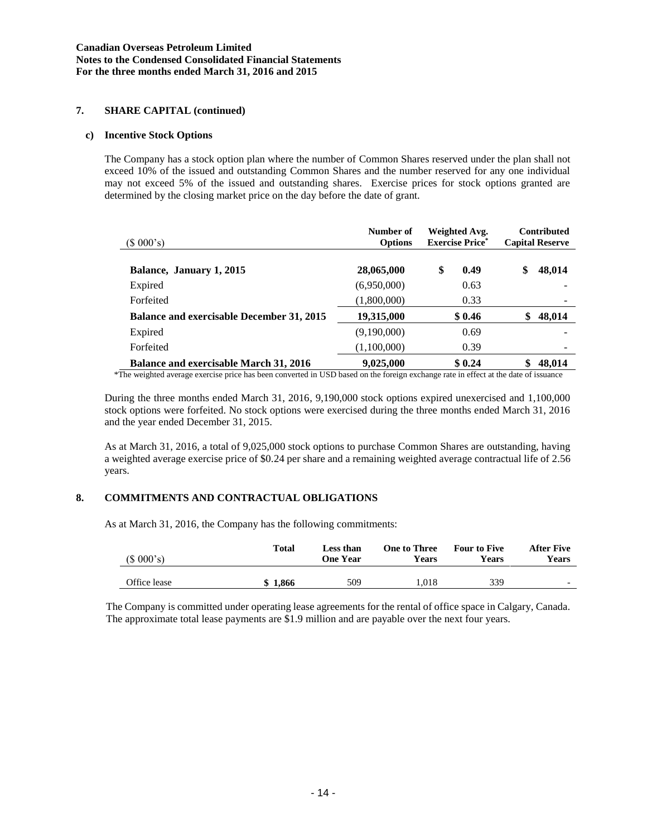# **7. SHARE CAPITAL (continued)**

#### **c) Incentive Stock Options**

The Company has a stock option plan where the number of Common Shares reserved under the plan shall not exceed 10% of the issued and outstanding Common Shares and the number reserved for any one individual may not exceed 5% of the issued and outstanding shares. Exercise prices for stock options granted are determined by the closing market price on the day before the date of grant.

| (\$000's)                                        | Number of<br><b>Options</b> | Weighted Avg.<br><b>Exercise Price*</b> | <b>Contributed</b><br><b>Capital Reserve</b> |  |
|--------------------------------------------------|-----------------------------|-----------------------------------------|----------------------------------------------|--|
| Balance, January 1, 2015                         | 28,065,000                  | \$<br>0.49                              | \$<br>48,014                                 |  |
| Expired                                          | (6,950,000)                 | 0.63                                    |                                              |  |
| Forfeited                                        | (1,800,000)                 | 0.33                                    |                                              |  |
| <b>Balance and exercisable December 31, 2015</b> | 19,315,000                  | \$0.46                                  | 48,014                                       |  |
| Expired                                          | (9,190,000)                 | 0.69                                    |                                              |  |
| Forfeited                                        | (1,100,000)                 | 0.39                                    |                                              |  |
| <b>Balance and exercisable March 31, 2016</b>    | 9,025,000                   | \$0.24                                  | 48,014                                       |  |

\*The weighted average exercise price has been converted in USD based on the foreign exchange rate in effect at the date of issuance

During the three months ended March 31, 2016, 9,190,000 stock options expired unexercised and 1,100,000 stock options were forfeited. No stock options were exercised during the three months ended March 31, 2016 and the year ended December 31, 2015.

As at March 31, 2016, a total of 9,025,000 stock options to purchase Common Shares are outstanding, having a weighted average exercise price of \$0.24 per share and a remaining weighted average contractual life of 2.56 years.

### **8. COMMITMENTS AND CONTRACTUAL OBLIGATIONS**

As at March 31, 2016, the Company has the following commitments:

| (\$000's)    | Total | Less than<br>One Year | <b>One to Three</b><br>Years | <b>Four to Five</b><br><b>Years</b> | <b>After Five</b><br>Years |
|--------------|-------|-----------------------|------------------------------|-------------------------------------|----------------------------|
| Office lease | 1.866 | 509                   | .018                         | 339                                 | $\overline{\phantom{0}}$   |

The Company is committed under operating lease agreements for the rental of office space in Calgary, Canada. The approximate total lease payments are \$1.9 million and are payable over the next four years.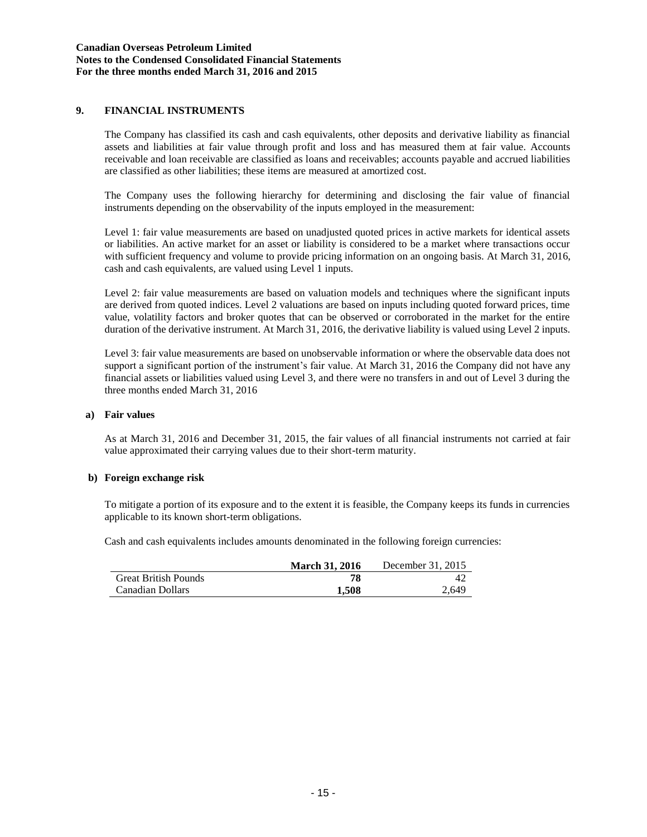# **9. FINANCIAL INSTRUMENTS**

The Company has classified its cash and cash equivalents, other deposits and derivative liability as financial assets and liabilities at fair value through profit and loss and has measured them at fair value. Accounts receivable and loan receivable are classified as loans and receivables; accounts payable and accrued liabilities are classified as other liabilities; these items are measured at amortized cost.

The Company uses the following hierarchy for determining and disclosing the fair value of financial instruments depending on the observability of the inputs employed in the measurement:

Level 1: fair value measurements are based on unadjusted quoted prices in active markets for identical assets or liabilities. An active market for an asset or liability is considered to be a market where transactions occur with sufficient frequency and volume to provide pricing information on an ongoing basis. At March 31, 2016, cash and cash equivalents, are valued using Level 1 inputs.

Level 2: fair value measurements are based on valuation models and techniques where the significant inputs are derived from quoted indices. Level 2 valuations are based on inputs including quoted forward prices, time value, volatility factors and broker quotes that can be observed or corroborated in the market for the entire duration of the derivative instrument. At March 31, 2016, the derivative liability is valued using Level 2 inputs.

Level 3: fair value measurements are based on unobservable information or where the observable data does not support a significant portion of the instrument's fair value. At March 31, 2016 the Company did not have any financial assets or liabilities valued using Level 3, and there were no transfers in and out of Level 3 during the three months ended March 31, 2016

#### **a) Fair values**

As at March 31, 2016 and December 31, 2015, the fair values of all financial instruments not carried at fair value approximated their carrying values due to their short-term maturity.

#### **b) Foreign exchange risk**

To mitigate a portion of its exposure and to the extent it is feasible, the Company keeps its funds in currencies applicable to its known short-term obligations.

Cash and cash equivalents includes amounts denominated in the following foreign currencies:

|                             | <b>March 31, 2016</b> | December 31, 2015 |
|-----------------------------|-----------------------|-------------------|
| <b>Great British Pounds</b> | 78                    | 42                |
| Canadian Dollars            | 1.508                 | 2.649             |